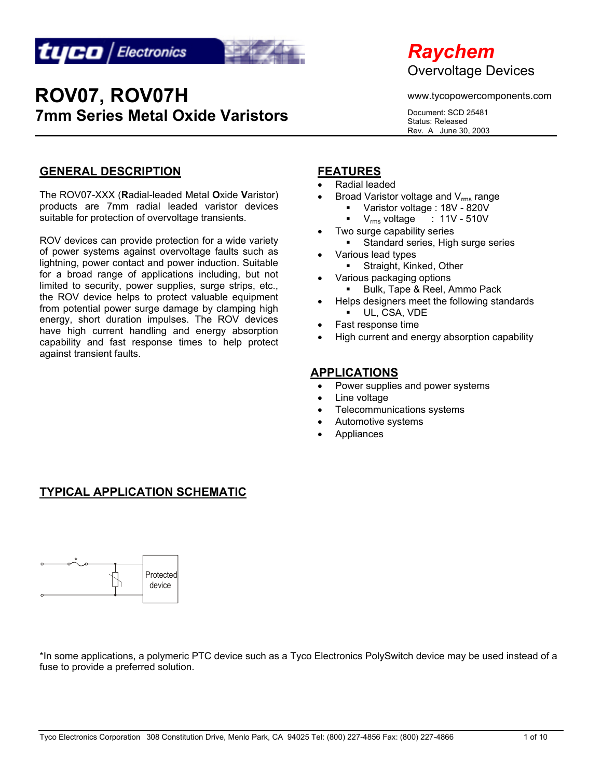



www.tycopowercomponents.com

Document: SCD 25481 Status: Released Rev. A June 30, 2003

#### **GENERAL DESCRIPTION**

The ROV07-XXX (**R**adial-leaded Metal **O**xide **V**aristor) products are 7mm radial leaded varistor devices suitable for protection of overvoltage transients.

ROV devices can provide protection for a wide variety of power systems against overvoltage faults such as lightning, power contact and power induction. Suitable for a broad range of applications including, but not limited to security, power supplies, surge strips, etc., the ROV device helps to protect valuable equipment from potential power surge damage by clamping high energy, short duration impulses. The ROV devices have high current handling and energy absorption capability and fast response times to help protect against transient faults.

#### **FEATURES**

- Radial leaded
- Broad Varistor voltage and  $V_{rms}$  range
	- Varistor voltage : 18V 820V
	- $\bullet$  V<sub>rms</sub> voltage : 11V 510V
	- Two surge capability series
	- Standard series, High surge series
- Various lead types
	- **Straight, Kinked, Other**
- Various packaging options **Bulk, Tape & Reel, Ammo Pack**
- Helps designers meet the following standards UL, CSA, VDE
- Fast response time
- High current and energy absorption capability

#### **APPLICATIONS**

- Power supplies and power systems
- Line voltage
- Telecommunications systems
- Automotive systems
- **Appliances**

## **TYPICAL APPLICATION SCHEMATIC**



\*In some applications, a polymeric PTC device such as a Tyco Electronics PolySwitch device may be used instead of a fuse to provide a preferred solution.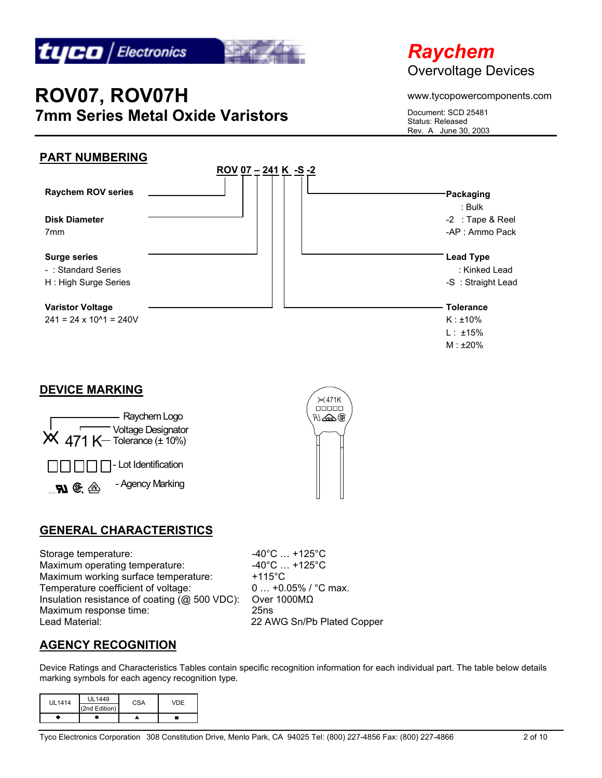

# *Raychem*  Overvoltage Devices

#### www.tycopowercomponents.com

Document: SCD 25481 Status: Released Rev. A June 30, 2003

## **PART NUMBERING**



### **DEVICE MARKING**





## **GENERAL CHARACTERISTICS**

Storage temperature:  $-40^{\circ}$ C ... +125°C Maximum operating temperature:  $-40^{\circ}$ C ... +125 $^{\circ}$ C Maximum working surface temperature: +115°C Temperature coefficient of voltage: 0 ... +0.05% / °C max. Insulation resistance of coating (@ 500 VDC): Over 1000MΩ Maximum response time: 25ns Lead Material: 22 AWG Sn/Pb Plated Copper

## **AGENCY RECOGNITION**

Device Ratings and Characteristics Tables contain specific recognition information for each individual part. The table below details marking symbols for each agency recognition type.

| UL1414 | UI 1449       | <b>CSA</b> | VDE |
|--------|---------------|------------|-----|
|        | (2nd Edition) |            |     |
|        |               |            |     |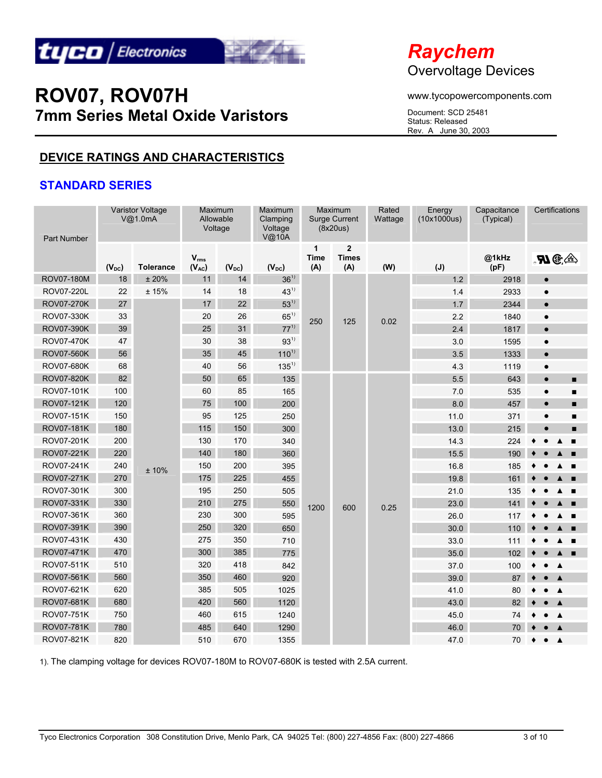



www.tycopowercomponents.com

Document: SCD 25481 Status: Released Rev. A June 30, 2003

## **DEVICE RATINGS AND CHARACTERISTICS**

#### **STANDARD SERIES**

| <b>Part Number</b> |            | Varistor Voltage<br>V@1.0mA | Maximum<br>Allowable<br>Voltage |            | Maximum<br>Clamping<br>Voltage<br>V@10A |                         | Maximum<br>Surge Current<br>(8x20us)  | Rated<br>Wattage | Energy<br>(10x1000us) | Capacitance<br>(Typical) | Certifications               |
|--------------------|------------|-----------------------------|---------------------------------|------------|-----------------------------------------|-------------------------|---------------------------------------|------------------|-----------------------|--------------------------|------------------------------|
|                    | $(V_{DC})$ | <b>Tolerance</b>            | $V_{rms}$<br>$(V_{AC})$         | $(V_{DC})$ | $(V_{DC})$                              | 1<br><b>Time</b><br>(A) | $\overline{2}$<br><b>Times</b><br>(A) | (W)              | $(\mathsf{J})$        | @1kHz<br>(pF)            | $\mathbf{M}$ G. $\triangleq$ |
| <b>ROV07-180M</b>  | 18         | ±20%                        | 11                              | 14         | $36^{11}$                               |                         |                                       |                  | 1.2                   | 2918                     | $\bullet$                    |
| <b>ROV07-220L</b>  | 22         | ±15%                        | 14                              | 18         | $43^{1}$                                |                         |                                       |                  | 1.4                   | 2933                     | $\bullet$                    |
| <b>ROV07-270K</b>  | 27         |                             | 17                              | 22         | $53^{1}$                                |                         |                                       |                  | 1.7                   | 2344                     | $\bullet$                    |
| ROV07-330K         | 33         |                             | 20                              | 26         | $65^{11}$                               | 250                     | 125                                   | 0.02             | 2.2                   | 1840                     | $\bullet$                    |
| <b>ROV07-390K</b>  | 39         |                             | 25                              | 31         | $77^{1}$                                |                         |                                       |                  | 2.4                   | 1817                     | $\bullet$                    |
| <b>ROV07-470K</b>  | 47         |                             | 30                              | 38         | $93^{11}$                               |                         |                                       |                  | 3.0                   | 1595                     | $\bullet$                    |
| <b>ROV07-560K</b>  | 56         |                             | 35                              | 45         | $110^{1}$                               |                         |                                       |                  | 3.5                   | 1333                     | $\bullet$                    |
| <b>ROV07-680K</b>  | 68         |                             | 40                              | 56         | $135^{1}$                               |                         |                                       |                  | 4.3                   | 1119                     | $\bullet$                    |
| ROV07-820K         | 82         |                             | 50                              | 65         | 135                                     |                         |                                       |                  | 5.5                   | 643                      | $\bullet$<br>■               |
| ROV07-101K         | 100        |                             | 60                              | 85         | 165                                     |                         |                                       |                  | 7.0                   | 535                      | $\bullet$<br>г               |
| ROV07-121K         | 120        |                             | 75                              | 100        | 200                                     |                         |                                       |                  | 8.0                   | 457                      | $\bullet$<br>Е               |
| <b>ROV07-151K</b>  | 150        |                             | 95                              | 125        | 250                                     |                         |                                       |                  | 11.0                  | 371                      | $\bullet$<br>■               |
| ROV07-181K         | 180        |                             | 115                             | 150        | 300                                     |                         |                                       |                  | 13.0                  | 215                      | $\bullet$<br>▬               |
| ROV07-201K         | 200        |                             | 130                             | 170        | 340                                     |                         |                                       |                  | 14.3                  | 224                      |                              |
| ROV07-221K         | 220        |                             | 140                             | 180        | 360                                     |                         |                                       |                  | 15.5                  | 190                      |                              |
| ROV07-241K         | 240        | ±10%                        | 150                             | 200        | 395                                     |                         |                                       |                  | 16.8                  | 185                      |                              |
| ROV07-271K         | 270        |                             | 175                             | 225        | 455                                     |                         |                                       |                  | 19.8                  | 161                      |                              |
| ROV07-301K         | 300        |                             | 195                             | 250        | 505                                     |                         |                                       |                  | 21.0                  | 135                      |                              |
| ROV07-331K         | 330        |                             | 210                             | 275        | 550                                     | 1200                    | 600                                   | 0.25             | 23.0                  | 141                      |                              |
| ROV07-361K         | 360        |                             | 230                             | 300        | 595                                     |                         |                                       |                  | 26.0                  | 117                      | $\blacksquare$               |
| ROV07-391K         | 390        |                             | 250                             | 320        | 650                                     |                         |                                       |                  | 30.0                  | 110                      | п                            |
| ROV07-431K         | 430        |                             | 275                             | 350        | 710                                     |                         |                                       |                  | 33.0                  | 111                      | $\blacksquare$               |
| ROV07-471K         | 470        |                             | 300                             | 385        | 775                                     |                         |                                       |                  | 35.0                  | 102                      |                              |
| ROV07-511K         | 510        |                             | 320                             | 418        | 842                                     |                         |                                       |                  | 37.0                  | 100                      |                              |
| ROV07-561K         | 560        |                             | 350                             | 460        | 920                                     |                         |                                       |                  | 39.0                  | 87                       | ▲                            |
| ROV07-621K         | 620        |                             | 385                             | 505        | 1025                                    |                         |                                       |                  | 41.0                  | 80                       | ▲                            |
| ROV07-681K         | 680        |                             | 420                             | 560        | 1120                                    |                         |                                       |                  | 43.0                  | 82                       | $\blacktriangle$             |
| <b>ROV07-751K</b>  | 750        |                             | 460                             | 615        | 1240                                    |                         |                                       |                  | 45.0                  | 74                       | $\blacktriangle$             |
| ROV07-781K         | 780        |                             | 485                             | 640        | 1290                                    |                         |                                       |                  | 46.0                  | 70                       |                              |
| ROV07-821K         | 820        |                             | 510                             | 670        | 1355                                    |                         |                                       |                  | 47.0                  | 70                       | $\blacktriangle$             |

1). The clamping voltage for devices ROV07-180M to ROV07-680K is tested with 2.5A current.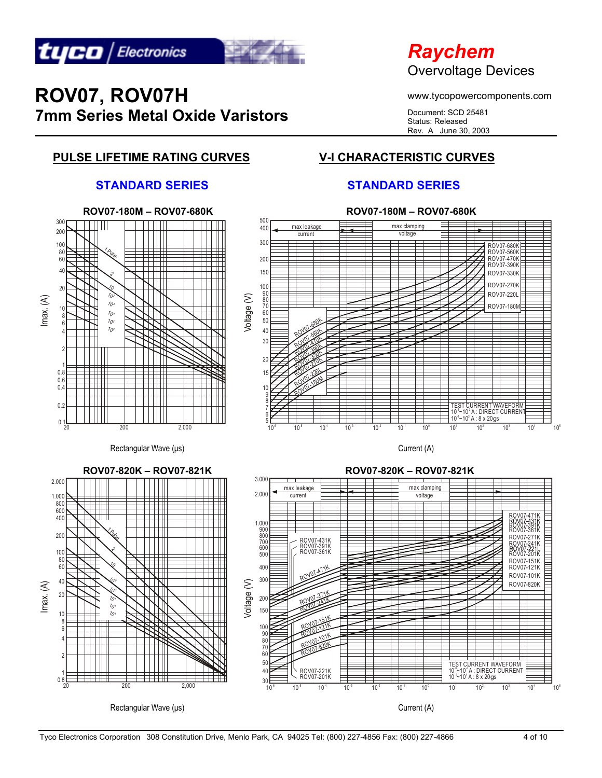

## *Raychem*  Overvoltage Devices

www.tycopowercomponents.com

Document: SCD 25481 Status: Released Rev. A June 30, 2003

## **PULSE LIFETIME RATING CURVES V-I CHARACTERISTIC CURVES**

#### **STANDARD SERIES STANDARD SERIES**

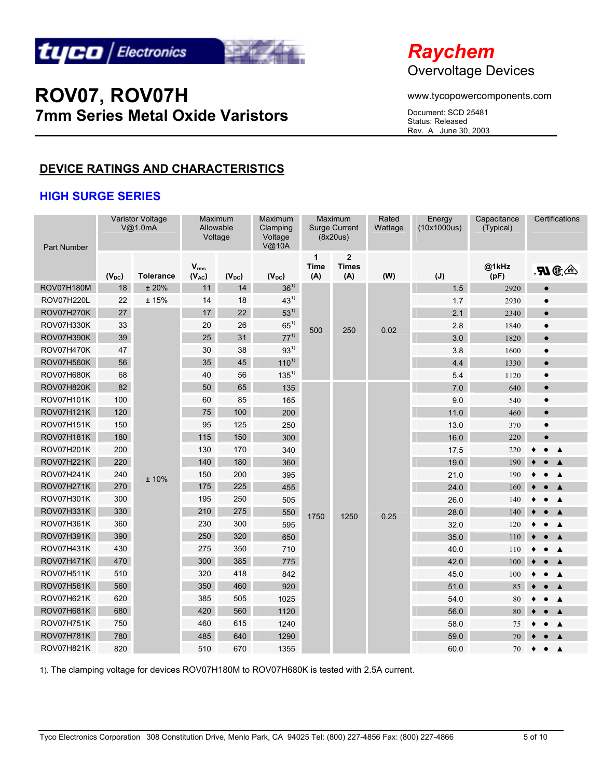



www.tycopowercomponents.com

Document: SCD 25481 Status: Released Rev. A June 30, 2003

## **DEVICE RATINGS AND CHARACTERISTICS**

### **HIGH SURGE SERIES**

| <b>Part Number</b> |            | <b>Varistor Voltage</b><br>V@1.0mA | Maximum<br>Allowable<br>Voltage |            | Maximum<br>Clamping<br>Voltage<br>V@10A |                  | Maximum<br><b>Surge Current</b><br>(8x20us) | Rated<br>Wattage | Energy<br>(10x1000us) | Capacitance<br>(Typical) | Certifications              |
|--------------------|------------|------------------------------------|---------------------------------|------------|-----------------------------------------|------------------|---------------------------------------------|------------------|-----------------------|--------------------------|-----------------------------|
|                    | $(V_{DC})$ | <b>Tolerance</b>                   | $V_{rms}$<br>$(V_{AC})$         | $(V_{DC})$ | $(V_{DC})$                              | 1<br>Time<br>(A) | $\mathbf{2}$<br><b>Times</b><br>(A)         | (W)              | $(\mathsf{J})$        | @1kHz<br>(pF)            | $\mathbf{N}$ G. $\triangle$ |
| <b>ROV07H180M</b>  | 18         | ±20%                               | 11                              | 14         | $36^{1}$                                |                  |                                             |                  | 1.5                   | 2920                     | $\bullet$                   |
| <b>ROV07H220L</b>  | 22         | ±15%                               | 14                              | 18         | $43^{1}$                                |                  |                                             |                  | 1.7                   | 2930                     | $\bullet$                   |
| ROV07H270K         | 27         |                                    | 17                              | 22         | $53^{11}$                               |                  |                                             |                  | 2.1                   | 2340                     | $\bullet$                   |
| ROV07H330K         | 33         |                                    | 20                              | 26         | $65^{1}$                                | 500              | 250                                         | 0.02             | 2.8                   | 1840                     | $\bullet$                   |
| ROV07H390K         | 39         |                                    | 25                              | 31         | $77^{1}$                                |                  |                                             |                  | 3.0                   | 1820                     | $\bullet$                   |
| ROV07H470K         | 47         |                                    | 30                              | 38         | $93^{1}$                                |                  |                                             |                  | 3.8                   | 1600                     | $\bullet$                   |
| <b>ROV07H560K</b>  | 56         |                                    | 35                              | 45         | $110^{1}$                               |                  |                                             |                  | 4.4                   | 1330                     | $\bullet$                   |
| <b>ROV07H680K</b>  | 68         |                                    | 40                              | 56         | $135^{1}$                               |                  |                                             |                  | 5.4                   | 1120                     | $\bullet$                   |
| <b>ROV07H820K</b>  | 82         |                                    | 50                              | 65         | 135                                     |                  |                                             |                  | 7.0                   | 640                      | $\bullet$                   |
| <b>ROV07H101K</b>  | 100        |                                    | 60                              | 85         | 165                                     |                  |                                             |                  | 9.0                   | 540                      | $\bullet$                   |
| ROV07H121K         | 120        |                                    | 75                              | 100        | 200                                     |                  |                                             |                  | 11.0                  | 460                      | $\bullet$                   |
| <b>ROV07H151K</b>  | 150        |                                    | 95                              | 125        | 250                                     |                  |                                             |                  | 13.0                  | 370                      | $\bullet$                   |
| <b>ROV07H181K</b>  | 180        |                                    | 115                             | 150        | 300                                     |                  |                                             |                  | 16.0                  | 220                      |                             |
| <b>ROV07H201K</b>  | 200        |                                    | 130                             | 170        | 340                                     |                  |                                             |                  | 17.5                  | 220                      | ▲                           |
| <b>ROV07H221K</b>  | 220        |                                    | 140                             | 180        | 360                                     |                  |                                             |                  | 19.0                  | 190                      |                             |
| <b>ROV07H241K</b>  | 240        | ±10%                               | 150                             | 200        | 395                                     |                  |                                             |                  | 21.0                  | 190                      | $\blacktriangle$            |
| <b>ROV07H271K</b>  | 270        |                                    | 175                             | 225        | 455                                     |                  |                                             |                  | 24.0                  | 160                      |                             |
| ROV07H301K         | 300        |                                    | 195                             | 250        | 505                                     |                  |                                             |                  | 26.0                  | 140                      | ▲                           |
| <b>ROV07H331K</b>  | 330        |                                    | 210                             | 275        | 550                                     | 1750             | 1250                                        | 0.25             | 28.0                  | 140                      |                             |
| ROV07H361K         | 360        |                                    | 230                             | 300        | 595                                     |                  |                                             |                  | 32.0                  | 120                      | $\blacktriangle$            |
| <b>ROV07H391K</b>  | 390        |                                    | 250                             | 320        | 650                                     |                  |                                             |                  | 35.0                  | 110                      |                             |
| <b>ROV07H431K</b>  | 430        |                                    | 275                             | 350        | 710                                     |                  |                                             |                  | 40.0                  | 110                      |                             |
| <b>ROV07H471K</b>  | 470        |                                    | 300                             | 385        | 775                                     |                  |                                             |                  | 42.0                  | 100                      |                             |
| <b>ROV07H511K</b>  | 510        |                                    | 320                             | 418        | 842                                     |                  |                                             |                  | 45.0                  | 100                      | $\blacktriangle$            |
| <b>ROV07H561K</b>  | 560        |                                    | 350                             | 460        | 920                                     |                  |                                             |                  | 51.0                  | 85                       | $\blacktriangle$            |
| ROV07H621K         | 620        |                                    | 385                             | 505        | 1025                                    |                  |                                             |                  | 54.0                  | 80                       | $\blacktriangle$            |
| ROV07H681K         | 680        |                                    | 420                             | 560        | 1120                                    |                  |                                             |                  | 56.0                  | $80\,$                   | $\blacktriangle$            |
| <b>ROV07H751K</b>  | 750        |                                    | 460                             | 615        | 1240                                    |                  |                                             |                  | 58.0                  | 75                       | $\blacktriangle$            |
| <b>ROV07H781K</b>  | 780        |                                    | 485                             | 640        | 1290                                    |                  |                                             |                  | 59.0                  | 70                       | $\blacktriangle$            |
| <b>ROV07H821K</b>  | 820        |                                    | 510                             | 670        | 1355                                    |                  |                                             |                  | 60.0                  | 70                       | $\blacktriangle$            |

1). The clamping voltage for devices ROV07H180M to ROV07H680K is tested with 2.5A current.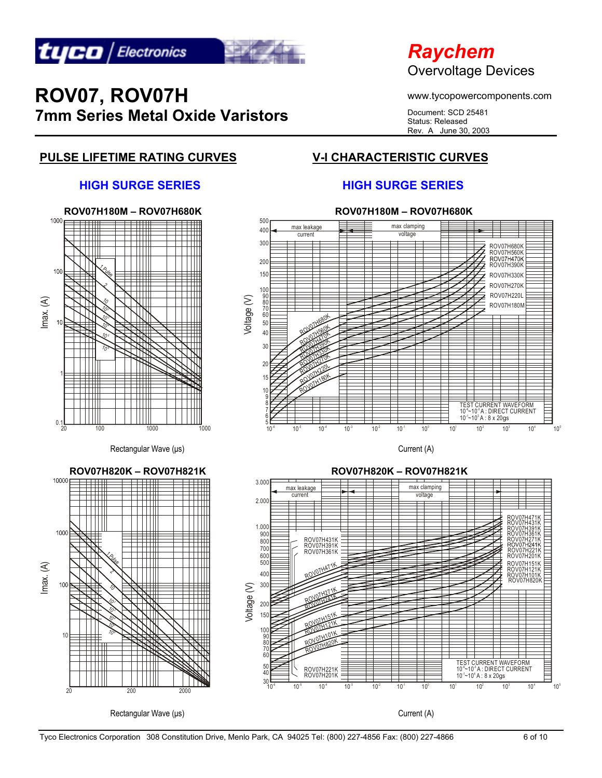

## *Raychem*  Overvoltage Devices

www.tycopowercomponents.com

Document: SCD 25481 Status: Released Rev. A June 30, 2003

## **PULSE LIFETIME RATING CURVES V-I CHARACTERISTIC CURVES**

#### **HIGH SURGE SERIES HIGH SURGE SERIES**



Tyco Electronics Corporation 308 Constitution Drive, Menlo Park, CA 94025 Tel: (800) 227-4856 Fax: (800) 227-4866 6 06 10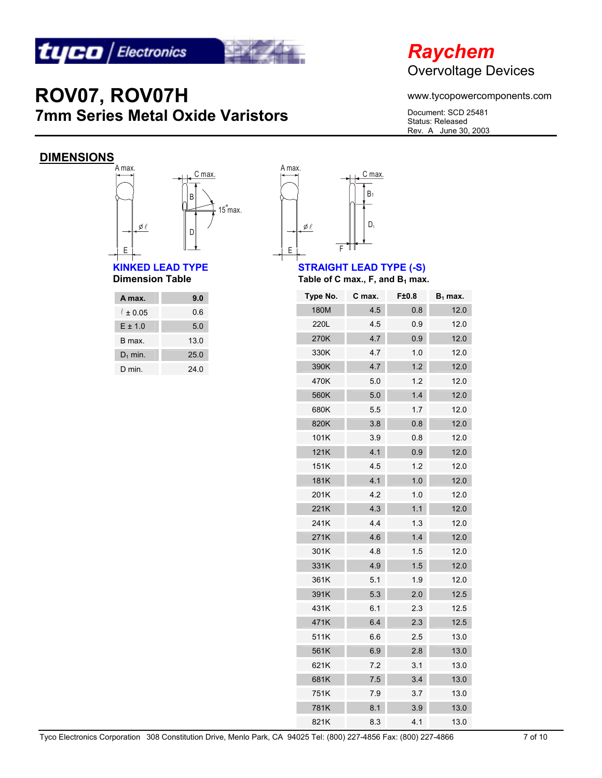



www.tycopowercomponents.com

Document: SCD 25481 Status: Released Rev. A June 30, 2003

## **DIMENSIONS**



# **KINKED LEAD TYPE STRAIGHT LEAD TYPE (-S)**<br>Dimension Table **Straight Straight Straight Straight Table** of C max., F, and B<sub>1</sub> max

| A max.        | 9.0  |
|---------------|------|
| $\ell$ ± 0.05 | 0.6  |
| $E \pm 1.0$   | 5.0  |
| B max         | 13.0 |
| $D_1$ min.    | 25.0 |
| D min         | 24.0 |



Table of C max., F, and  $B_1$  max.

| Type No. | C max. | F±0.8 | $B_1$ max. |
|----------|--------|-------|------------|
| 180M     | 4.5    | 0.8   | 12.0       |
| 220L     | 4.5    | 0.9   | 12.0       |
| 270K     | 4.7    | 0.9   | 12.0       |
| 330K     | 4.7    | 1.0   | 12.0       |
| 390K     | 4.7    | 1.2   | 12.0       |
| 470K     | 5.0    | 1.2   | 12.0       |
| 560K     | 5.0    | 1.4   | 12.0       |
| 680K     | 5.5    | 1.7   | 12.0       |
| 820K     | 3.8    | 0.8   | 12.0       |
| 101K     | 3.9    | 0.8   | 12.0       |
| 121K     | 4.1    | 0.9   | 12.0       |
| 151K     | 4.5    | 1.2   | 12.0       |
| 181K     | 4.1    | 1.0   | 12.0       |
| 201K     | 4.2    | 1.0   | 12.0       |
| 221K     | 4.3    | 1.1   | 12.0       |
| 241K     | 4.4    | 1.3   | 12.0       |
| 271K     | 4.6    | 1.4   | 12.0       |
| 301K     | 4.8    | 1.5   | 12.0       |
| 331K     | 4.9    | 1.5   | 12.0       |
| 361K     | 5.1    | 1.9   | 12.0       |
| 391K     | 5.3    | 2.0   | 12.5       |
| 431K     | 6.1    | 2.3   | 12.5       |
| 471K     | 6.4    | 2.3   | 12.5       |
| 511K     | 6.6    | 2.5   | 13.0       |
| 561K     | 6.9    | 2.8   | 13.0       |
| 621K     | 7.2    | 3.1   | 13.0       |
| 681K     | 7.5    | 3.4   | 13.0       |
| 751K     | 7.9    | 3.7   | 13.0       |
| 781K     | 8.1    | 3.9   | 13.0       |
| 821K     | 8.3    | 4.1   | 13.0       |

Tyco Electronics Corporation 308 Constitution Drive, Menlo Park, CA 94025 Tel: (800) 227-4856 Fax: (800) 227-4866 7 of 10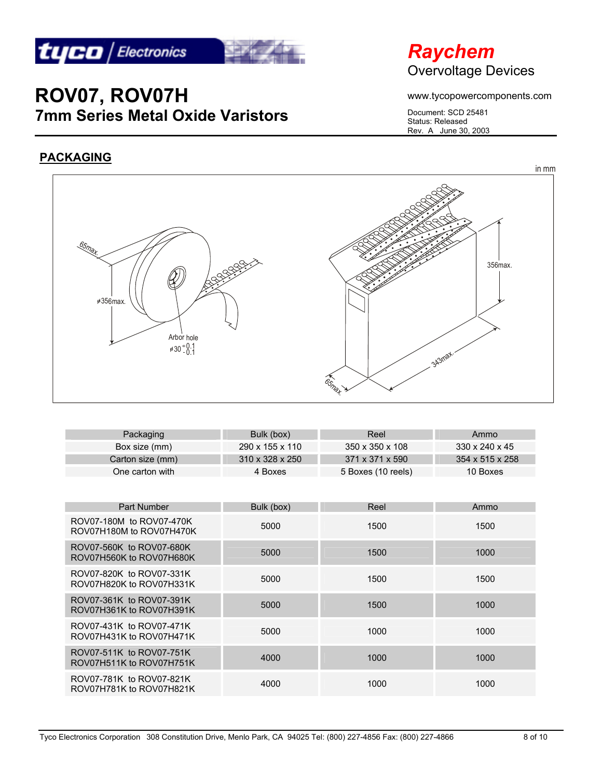

# *Raychem*  Overvoltage Devices

www.tycopowercomponents.com

Document: SCD 25481 Status: Released Rev. A June 30, 2003

## **PACKAGING**



| Packaging        | Bulk (box)                  | Reel               | Ammo                       |
|------------------|-----------------------------|--------------------|----------------------------|
| Box size (mm)    | 290 x 155 x 110             | 350 x 350 x 108    | $330 \times 240 \times 45$ |
| Carton size (mm) | $310 \times 328 \times 250$ | 371 x 371 x 590    | 354 x 515 x 258            |
| One carton with  | 4 Boxes                     | 5 Boxes (10 reels) | 10 Boxes                   |

| Part Number                                          | Bulk (box) | Reel | Ammo |
|------------------------------------------------------|------------|------|------|
| ROV07-180M to ROV07-470K<br>ROV07H180M to ROV07H470K | 5000       | 1500 | 1500 |
| ROV07-560K to ROV07-680K<br>ROV07H560K to ROV07H680K | 5000       | 1500 | 1000 |
| ROV07-820K to ROV07-331K<br>ROV07H820K to ROV07H331K | 5000       | 1500 | 1500 |
| ROV07-361K to ROV07-391K<br>ROV07H361K to ROV07H391K | 5000       | 1500 | 1000 |
| ROV07-431K to ROV07-471K<br>ROV07H431K to ROV07H471K | 5000       | 1000 | 1000 |
| ROV07-511K to ROV07-751K<br>ROV07H511K to ROV07H751K | 4000       | 1000 | 1000 |
| ROV07-781K to ROV07-821K<br>ROV07H781K to ROV07H821K | 4000       | 1000 | 1000 |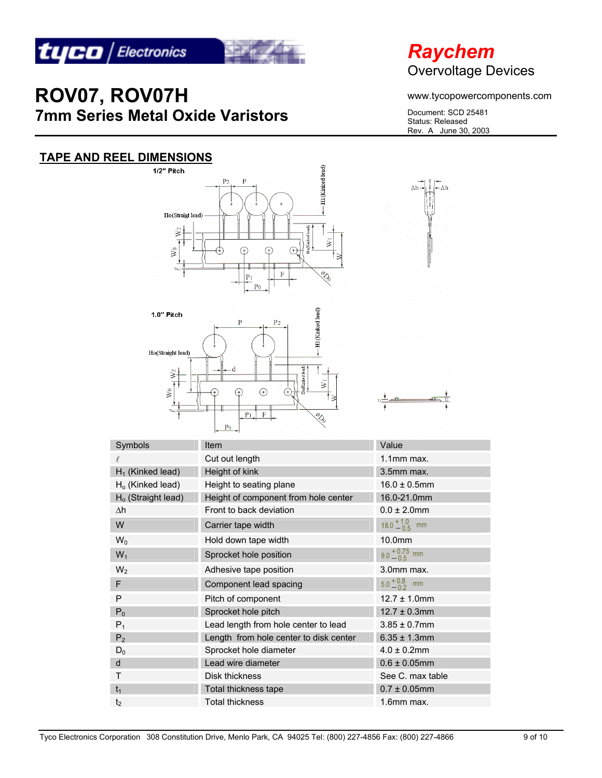

**TAPE AND REEL DIMENSIONS**



# **ROV07, ROV07H 7mm Series Metal Oxide Varistors**

1/2" Pitch

# *Raychem*  Overvoltage Devices

www.tycopowercomponents.com

Document: SCD 25481 Status: Released Rev. A June 30, 2003

#### **H1**(Kinked lead)  $\Lambda h$  $-\Delta h$ Ho(Straigt lead)  $\sum$ ā  $\widetilde{\mathsf{N}}$ **RE** F EI (Kinked lead) 1.0" Pitch  $P<sub>2</sub>$ Ho(Straight lead) ₹  $\bar{\mathbf{x}}$  $\mathsf{W}^0$ F) G  $P<sub>1</sub>$ O,  $P<sub>0</sub>$ Symbols **Item** Value  $\ell$  Cut out length  $\ell$  1.1mm max.  $H_1$  (Kinked lead) Height of kink  $H_1$  (Kinked lead) Height of kink  $H_0$  (Kinked lead) Height to seating plane 16.0  $\pm$  0.5mm Ho (Straight lead) Height of component from hole center 16.0-21.0mm ∆h Front to back deviation 0.0 ± 2.0mm  $18.0 + 1.0$  mm W Carrier tape width  $W_0$  Hold down tape width  $10.0$ mm  $9.0 + 0.75$  mm W<sub>1</sub> Sprocket hole position  $W_2$  Adhesive tape position 3.0mm max. F Component lead spacing  $5.0^{+0.8}_{-0.2}$  mm P Pitch of component 12.7 ± 1.0mm  $P_0$  Sprocket hole pitch 12.7  $\pm$  0.3mm  $P_1$  Lead length from hole center to lead  $3.85 \pm 0.7$ mm  $P_2$  Length from hole center to disk center 6.35  $\pm$  1.3mm D<sub>0</sub> Sprocket hole diameter 4.0 ± 0.2mm

d **Lead wire diameter** 0.6 ± 0.05mm T Disk thickness See C. max table  $t_1$  Total thickness tape  $\overline{0.7 \pm 0.05}$ mm t<sub>2</sub> Total thickness 1.6mm max.